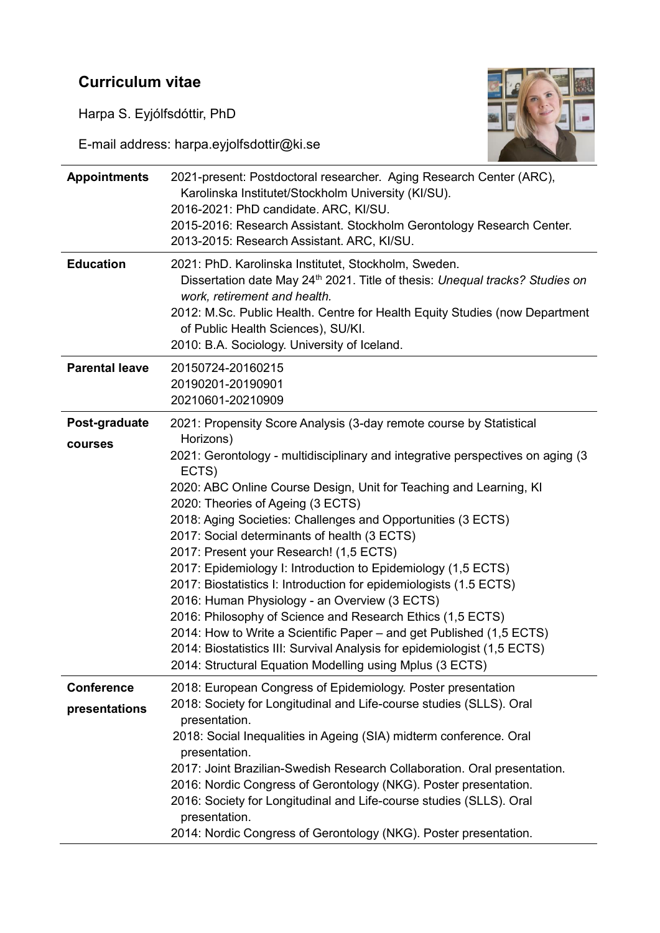## **Curriculum vitae**

Harpa S. Eyjólfsdóttir, PhD

E-mail address: harpa.eyjolfsdottir@ki.se



| <b>Appointments</b>                | 2021-present: Postdoctoral researcher. Aging Research Center (ARC),<br>Karolinska Institutet/Stockholm University (KI/SU).<br>2016-2021: PhD candidate. ARC, KI/SU.<br>2015-2016: Research Assistant. Stockholm Gerontology Research Center.<br>2013-2015: Research Assistant. ARC, KI/SU.                                                                                                                                                                                                                                                                                                                                                                                                                                                                                                                                                                                                                               |
|------------------------------------|--------------------------------------------------------------------------------------------------------------------------------------------------------------------------------------------------------------------------------------------------------------------------------------------------------------------------------------------------------------------------------------------------------------------------------------------------------------------------------------------------------------------------------------------------------------------------------------------------------------------------------------------------------------------------------------------------------------------------------------------------------------------------------------------------------------------------------------------------------------------------------------------------------------------------|
| <b>Education</b>                   | 2021: PhD. Karolinska Institutet, Stockholm, Sweden.<br>Dissertation date May 24 <sup>th</sup> 2021. Title of thesis: Unequal tracks? Studies on<br>work, retirement and health.<br>2012: M.Sc. Public Health. Centre for Health Equity Studies (now Department<br>of Public Health Sciences), SU/KI.<br>2010: B.A. Sociology. University of Iceland.                                                                                                                                                                                                                                                                                                                                                                                                                                                                                                                                                                    |
| <b>Parental leave</b>              | 20150724-20160215<br>20190201-20190901<br>20210601-20210909                                                                                                                                                                                                                                                                                                                                                                                                                                                                                                                                                                                                                                                                                                                                                                                                                                                              |
| Post-graduate<br>courses           | 2021: Propensity Score Analysis (3-day remote course by Statistical<br>Horizons)<br>2021: Gerontology - multidisciplinary and integrative perspectives on aging (3)<br>ECTS)<br>2020: ABC Online Course Design, Unit for Teaching and Learning, KI<br>2020: Theories of Ageing (3 ECTS)<br>2018: Aging Societies: Challenges and Opportunities (3 ECTS)<br>2017: Social determinants of health (3 ECTS)<br>2017: Present your Research! (1,5 ECTS)<br>2017: Epidemiology I: Introduction to Epidemiology (1,5 ECTS)<br>2017: Biostatistics I: Introduction for epidemiologists (1.5 ECTS)<br>2016: Human Physiology - an Overview (3 ECTS)<br>2016: Philosophy of Science and Research Ethics (1,5 ECTS)<br>2014: How to Write a Scientific Paper – and get Published (1,5 ECTS)<br>2014: Biostatistics III: Survival Analysis for epidemiologist (1,5 ECTS)<br>2014: Structural Equation Modelling using Mplus (3 ECTS) |
| <b>Conference</b><br>presentations | 2018: European Congress of Epidemiology. Poster presentation<br>2018: Society for Longitudinal and Life-course studies (SLLS). Oral<br>presentation.<br>2018: Social Inequalities in Ageing (SIA) midterm conference. Oral<br>presentation.<br>2017: Joint Brazilian-Swedish Research Collaboration. Oral presentation.<br>2016: Nordic Congress of Gerontology (NKG). Poster presentation.<br>2016: Society for Longitudinal and Life-course studies (SLLS). Oral<br>presentation.<br>2014: Nordic Congress of Gerontology (NKG). Poster presentation.                                                                                                                                                                                                                                                                                                                                                                  |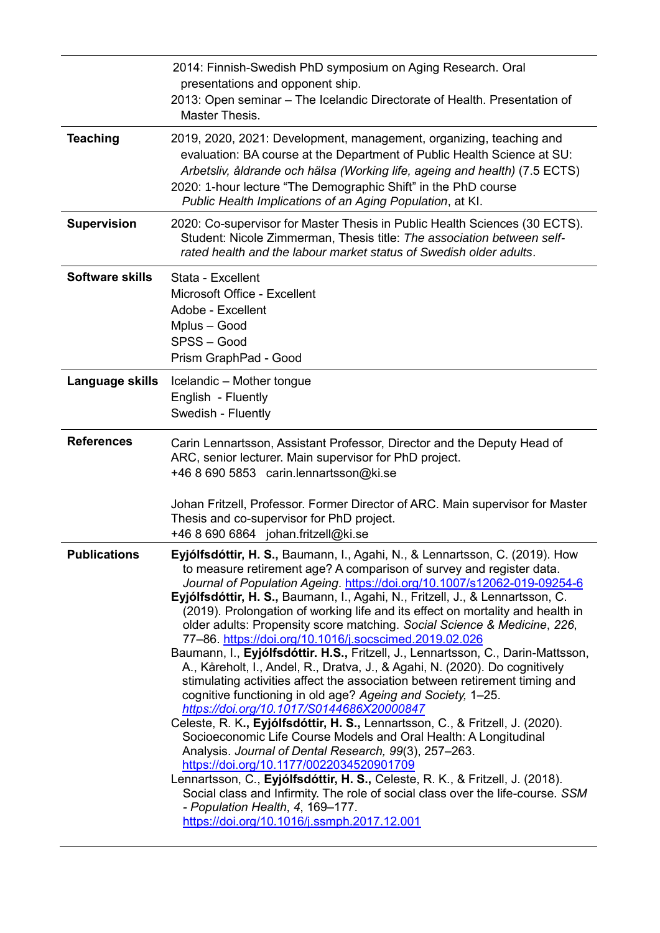|                        | 2014: Finnish-Swedish PhD symposium on Aging Research. Oral                                                                                                                                                                                                                                                                                                                                                                                                                                                                                                                                                                                                                                                                                                                                                                                                                                                                                                                                                                                                                                                                                                                                                                                                                                                                                                                                                                                                   |
|------------------------|---------------------------------------------------------------------------------------------------------------------------------------------------------------------------------------------------------------------------------------------------------------------------------------------------------------------------------------------------------------------------------------------------------------------------------------------------------------------------------------------------------------------------------------------------------------------------------------------------------------------------------------------------------------------------------------------------------------------------------------------------------------------------------------------------------------------------------------------------------------------------------------------------------------------------------------------------------------------------------------------------------------------------------------------------------------------------------------------------------------------------------------------------------------------------------------------------------------------------------------------------------------------------------------------------------------------------------------------------------------------------------------------------------------------------------------------------------------|
|                        | presentations and opponent ship.<br>2013: Open seminar - The Icelandic Directorate of Health. Presentation of<br>Master Thesis.                                                                                                                                                                                                                                                                                                                                                                                                                                                                                                                                                                                                                                                                                                                                                                                                                                                                                                                                                                                                                                                                                                                                                                                                                                                                                                                               |
| <b>Teaching</b>        | 2019, 2020, 2021: Development, management, organizing, teaching and<br>evaluation: BA course at the Department of Public Health Science at SU:<br>Arbetsliv, åldrande och hälsa (Working life, ageing and health) (7.5 ECTS)<br>2020: 1-hour lecture "The Demographic Shift" in the PhD course<br>Public Health Implications of an Aging Population, at KI.                                                                                                                                                                                                                                                                                                                                                                                                                                                                                                                                                                                                                                                                                                                                                                                                                                                                                                                                                                                                                                                                                                   |
| <b>Supervision</b>     | 2020: Co-supervisor for Master Thesis in Public Health Sciences (30 ECTS).<br>Student: Nicole Zimmerman, Thesis title: The association between self-<br>rated health and the labour market status of Swedish older adults.                                                                                                                                                                                                                                                                                                                                                                                                                                                                                                                                                                                                                                                                                                                                                                                                                                                                                                                                                                                                                                                                                                                                                                                                                                    |
| <b>Software skills</b> | Stata - Excellent<br>Microsoft Office - Excellent<br>Adobe - Excellent<br>Mplus - Good<br>SPSS-Good<br>Prism GraphPad - Good                                                                                                                                                                                                                                                                                                                                                                                                                                                                                                                                                                                                                                                                                                                                                                                                                                                                                                                                                                                                                                                                                                                                                                                                                                                                                                                                  |
| Language skills        | Icelandic - Mother tongue<br>English - Fluently<br>Swedish - Fluently                                                                                                                                                                                                                                                                                                                                                                                                                                                                                                                                                                                                                                                                                                                                                                                                                                                                                                                                                                                                                                                                                                                                                                                                                                                                                                                                                                                         |
| <b>References</b>      | Carin Lennartsson, Assistant Professor, Director and the Deputy Head of<br>ARC, senior lecturer. Main supervisor for PhD project.<br>+46 8 690 5853 carin.lennartsson@ki.se<br>Johan Fritzell, Professor. Former Director of ARC. Main supervisor for Master<br>Thesis and co-supervisor for PhD project.                                                                                                                                                                                                                                                                                                                                                                                                                                                                                                                                                                                                                                                                                                                                                                                                                                                                                                                                                                                                                                                                                                                                                     |
| <b>Publications</b>    | +46 8 690 6864 johan.fritzell@ki.se<br>Eyjólfsdóttir, H. S., Baumann, I., Agahi, N., & Lennartsson, C. (2019). How<br>to measure retirement age? A comparison of survey and register data.<br>Journal of Population Ageing. https://doi.org/10.1007/s12062-019-09254-6<br>Eyjólfsdóttir, H. S., Baumann, I., Agahi, N., Fritzell, J., & Lennartsson, C.<br>(2019). Prolongation of working life and its effect on mortality and health in<br>older adults: Propensity score matching. Social Science & Medicine, 226,<br>77-86. https://doi.org/10.1016/j.socscimed.2019.02.026<br>Baumann, I., Eyjólfsdóttir. H.S., Fritzell, J., Lennartsson, C., Darin-Mattsson,<br>A., Kåreholt, I., Andel, R., Dratva, J., & Agahi, N. (2020). Do cognitively<br>stimulating activities affect the association between retirement timing and<br>cognitive functioning in old age? Ageing and Society, 1-25.<br>https://doi.org/10.1017/S0144686X20000847<br>Celeste, R. K., Eyjólfsdóttir, H. S., Lennartsson, C., & Fritzell, J. (2020).<br>Socioeconomic Life Course Models and Oral Health: A Longitudinal<br>Analysis. Journal of Dental Research, 99(3), 257-263.<br>https://doi.org/10.1177/0022034520901709<br>Lennartsson, C., Eyjólfsdóttir, H. S., Celeste, R. K., & Fritzell, J. (2018).<br>Social class and Infirmity. The role of social class over the life-course. SSM<br>- Population Health, 4, 169-177.<br>https://doi.org/10.1016/j.ssmph.2017.12.001 |